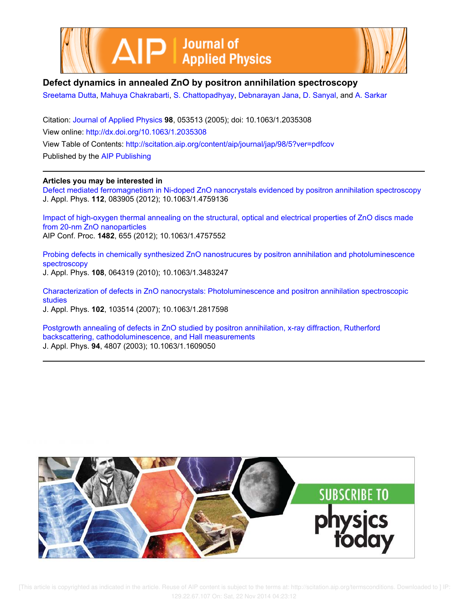



# **Defect dynamics in annealed ZnO by positron annihilation spectroscopy**

Sreetama Dutta, Mahuya Chakrabarti, S. Chattopadhyay, Debnarayan Jana, D. Sanyal, and A. Sarkar

Citation: Journal of Applied Physics **98**, 053513 (2005); doi: 10.1063/1.2035308 View online: http://dx.doi.org/10.1063/1.2035308 View Table of Contents: http://scitation.aip.org/content/aip/journal/jap/98/5?ver=pdfcov Published by the AIP Publishing

### **Articles you may be interested in**

Defect mediated ferromagnetism in Ni-doped ZnO nanocrystals evidenced by positron annihilation spectroscopy J. Appl. Phys. **112**, 083905 (2012); 10.1063/1.4759136

Impact of high-oxygen thermal annealing on the structural, optical and electrical properties of ZnO discs made from 20-nm ZnO nanoparticles AIP Conf. Proc. **1482**, 655 (2012); 10.1063/1.4757552

Probing defects in chemically synthesized ZnO nanostrucures by positron annihilation and photoluminescence spectroscopy J. Appl. Phys. **108**, 064319 (2010); 10.1063/1.3483247

Characterization of defects in ZnO nanocrystals: Photoluminescence and positron annihilation spectroscopic studies

J. Appl. Phys. **102**, 103514 (2007); 10.1063/1.2817598

Postgrowth annealing of defects in ZnO studied by positron annihilation, x-ray diffraction, Rutherford backscattering, cathodoluminescence, and Hall measurements J. Appl. Phys. **94**, 4807 (2003); 10.1063/1.1609050

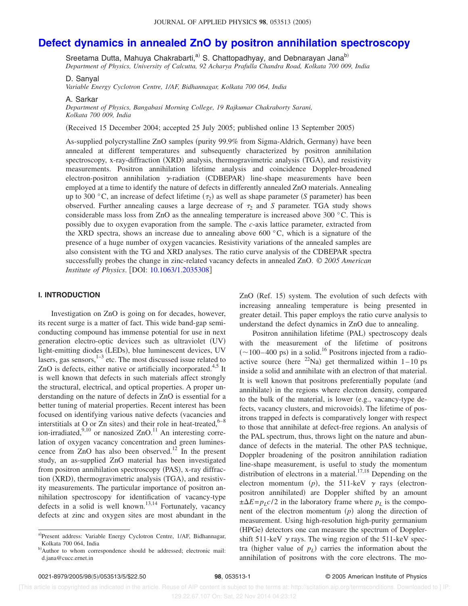# **Defect dynamics in annealed ZnO by positron annihilation spectroscopy**

Sreetama Dutta, Mahuya Chakrabarti,<sup>a)</sup> S. Chattopadhyay, and Debnarayan Jana<sup>b)</sup>

*Department of Physics, University of Calcutta, 92 Acharya Prafulla Chandra Road, Kolkata 700 009, India*

D. Sanyal

*Variable Energy Cyclotron Centre, 1/AF, Bidhannagar, Kolkata 700 064, India*

A. Sarkar

*Department of Physics, Bangabasi Morning College, 19 Rajkumar Chakraborty Sarani, Kolkata 700 009, India*

(Received 15 December 2004; accepted 25 July 2005; published online 13 September 2005)

As-supplied polycrystalline ZnO samples (purity 99.9% from Sigma-Aldrich, Germany) have been annealed at different temperatures and subsequently characterized by positron annihilation spectroscopy, x-ray-diffraction (XRD) analysis, thermogravimetric analysis (TGA), and resistivity measurements. Positron annihilation lifetime analysis and coincidence Doppler-broadened electron-positron annihilation  $\gamma$ -radiation (CDBEPAR) line-shape measurements have been employed at a time to identify the nature of defects in differently annealed ZnO materials. Annealing up to 300  $\degree$ C, an increase of defect lifetime ( $\tau_2$ ) as well as shape parameter (*S* parameter) has been observed. Further annealing causes a large decrease of  $\tau_2$  and *S* parameter. TGA study shows considerable mass loss from ZnO as the annealing temperature is increased above 300 °C. This is possibly due to oxygen evaporation from the sample. The *c*-axis lattice parameter, extracted from the XRD spectra, shows an increase due to annealing above 600  $^{\circ}$ C, which is a signature of the presence of a huge number of oxygen vacancies. Resistivity variations of the annealed samples are also consistent with the TG and XRD analyses. The ratio curve analysis of the CDBEPAR spectra successfully probes the change in zinc-related vacancy defects in annealed ZnO. © *2005 American Institute of Physics.* [DOI: 10.1063/1.2035308]

### **I. INTRODUCTION**

Investigation on ZnO is going on for decades, however, its recent surge is a matter of fact. This wide band-gap semiconducting compound has immense potential for use in next generation electro-optic devices such as ultraviolet (UV) light-emitting diodes (LEDs), blue luminescent devices, UV lasers, gas sensors, $1-3$  etc. The most discussed issue related to ZnO is defects, either native or artificially incorporated.<sup>4,5</sup> It is well known that defects in such materials affect strongly the structural, electrical, and optical properties. A proper understanding on the nature of defects in ZnO is essential for a better tuning of material properties. Recent interest has been focused on identifying various native defects (vacancies and interstitials at O or Zn sites) and their role in heat-treated,  $6-8$ ion-irradiated, $\frac{9,10}{9}$  or nanosized ZnO.<sup>11</sup> An interesting correlation of oxygen vacancy concentration and green luminescence from  $ZnO$  has also been observed.<sup>12</sup> In the present study, an as-supplied ZnO material has been investigated from positron annihilation spectroscopy (PAS), x-ray diffraction (XRD), thermogravimetric analysis (TGA), and resistivity measurements. The particular importance of positron annihilation spectroscopy for identification of vacancy-type defects in a solid is well known.<sup>13,14</sup> Fortunately, vacancy defects at zinc and oxygen sites are most abundant in the

ZnO (Ref. 15) system. The evolution of such defects with increasing annealing temperature is being presented in greater detail. This paper employs the ratio curve analysis to understand the defect dynamics in ZnO due to annealing.

Positron annihilation lifetime (PAL) spectroscopy deals with the measurement of the lifetime of positrons  $(\sim 100-400 \text{ ps})$  in a solid.<sup>16</sup> Positrons injected from a radioactive source (here <sup>22</sup>Na) get thermalized within  $1 - 10$  ps inside a solid and annihilate with an electron of that material. It is well known that positrons preferentially populate (and annihilate) in the regions where electron density, compared to the bulk of the material, is lower (e.g., vacancy-type defects, vacancy clusters, and microvoids). The lifetime of positrons trapped in defects is comparatively longer with respect to those that annihilate at defect-free regions. An analysis of the PAL spectrum, thus, throws light on the nature and abundance of defects in the material. The other PAS technique, Doppler broadening of the positron annihilation radiation line-shape measurement, is useful to study the momentum distribution of electrons in a material.<sup>17,18</sup> Depending on the electron momentum (p), the 511-keV  $\gamma$  rays (electronpositron annihilated) are Doppler shifted by an amount  $\pm \Delta E = p_L c/2$  in the laboratory frame where  $p_L$  is the component of the electron momentum  $(p)$  along the direction of measurement. Using high-resolution high-purity germanium (HPGe) detectors one can measure the spectrum of Dopplershift 511-keV  $\gamma$  rays. The wing region of the 511-keV spectra (higher value of  $p_L$ ) carries the information about the annihilation of positrons with the core electrons. The mo-

a)Present address: Variable Energy Cyclotron Centre, 1/AF, Bidhannagar, Kolkata 700 064, India

b)Author to whom correspondence should be addressed; electronic mail: d.jana@cucc.ernet.in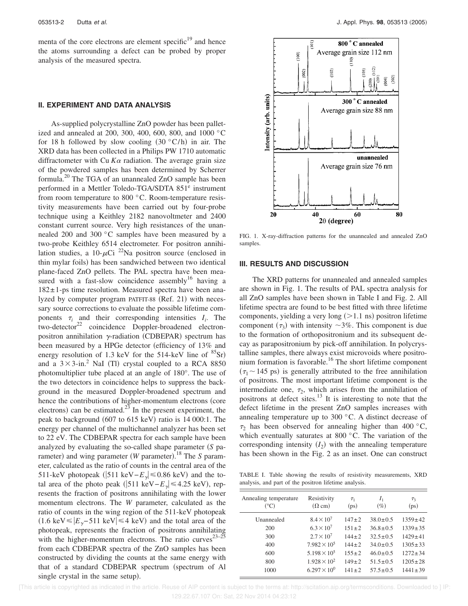menta of the core electrons are element specific $19$  and hence the atoms surrounding a defect can be probed by proper analysis of the measured spectra.

#### **II. EXPERIMENT AND DATA ANALYSIS**

As-supplied polycrystalline ZnO powder has been palletized and annealed at 200, 300, 400, 600, 800, and 1000 °C for 18 h followed by slow cooling  $(30 °C/h)$  in air. The XRD data has been collected in a Philips PW 1710 automatic diffractometer with Cu  $K\alpha$  radiation. The average grain size of the powdered samples has been determined by Scherrer formula.<sup>20</sup> The TGA of an unannealed ZnO sample has been performed in a Mettler Toledo-TGA/SDTA 851<sup>e</sup> instrument from room temperature to 800 °C. Room-temperature resistivity measurements have been carried out by four-probe technique using a Keithley 2182 nanovoltmeter and 2400 constant current source. Very high resistances of the unannealed 200 and 300 °C samples have been measured by a two-probe Keithley 6514 electrometer. For positron annihilation studies, a 10- $\mu$ Ci <sup>22</sup>Na positron source (enclosed in thin mylar foils) has been sandwiched between two identical plane-faced ZnO pellets. The PAL spectra have been measured with a fast-slow coincidence assembly<sup>16</sup> having a 182± 1-ps time resolution. Measured spectra have been analyzed by computer program PATFIT-88 (Ref. 21) with necessary source corrections to evaluate the possible lifetime components  $\tau_i$  and their corresponding intensities  $I_i$ . The  $two-elector<sup>22</sup>$  coincidence Doppler-broadened electronpositron annihilation  $\gamma$ -radiation (CDBEPAR) spectrum has been measured by a HPGe detector (efficiency of 13% and energy resolution of 1.3 keV for the 514-keV line of  ${}^{85}Sr$ ) and a  $3 \times 3$ -in.<sup>2</sup> NaI (Tl) crystal coupled to a RCA 8850 photomultiplier tube placed at an angle of 180°. The use of the two detectors in coincidence helps to suppress the background in the measured Doppler-broadened spectrum and hence the contributions of higher-momentum electrons (core electrons) can be estimated.<sup>23</sup> In the present experiment, the peak to background (607 to 615 keV) ratio is 14 000:1. The energy per channel of the multichannel analyzer has been set to 22 eV. The CDBEPAR spectra for each sample have been analyzed by evaluating the so-called shape parameter *S* parameter) and wing parameter (*W* parameter).<sup>18</sup> The *S* parameter, calculated as the ratio of counts in the central area of the 511-keV photopeak (|511 keV− $E_{\gamma}$ | ≤0.86 keV) and the total area of the photo peak (|511 keV− $E_{\gamma}$ | ≤4.25 keV), represents the fraction of positrons annihilating with the lower momentum electrons. The *W* parameter, calculated as the ratio of counts in the wing region of the 511-keV photopeak  $(1.6 \text{ keV} \le |E_{\gamma} - 511 \text{ keV}| \le 4 \text{ keV})$  and the total area of the photopeak, represents the fraction of positrons annihilating with the higher-momentum electrons. The ratio curves<sup>23–25</sup> from each CDBEPAR spectra of the ZnO samples has been constructed by dividing the counts at the same energy with that of a standard CDBEPAR spectrum (spectrum of Al single crystal in the same setup).



FIG. 1. X-ray-diffraction patterns for the unannealed and annealed ZnO samples.

#### **III. RESULTS AND DISCUSSION**

The XRD patterns for unannealed and annealed samples are shown in Fig. 1. The results of PAL spectra analysis for all ZnO samples have been shown in Table I and Fig. 2. All lifetime spectra are found to be best fitted with three lifetime components, yielding a very long  $(>1.1 \text{ ns})$  positron lifetime component  $(\tau_3)$  with intensity  $\sim$ 3%. This component is due to the formation of orthopositronium and its subsequent decay as parapositronium by pick-off annihilation. In polycrystalline samples, there always exist microvoids where positronium formation is favorable.<sup>16</sup> The short lifetime component  $(\tau_1 \sim 145 \text{ ps})$  is generally attributed to the free annihilation of positrons. The most important lifetime component is the intermediate one,  $\tau_2$ , which arises from the annihilation of positrons at defect sites.<sup>13</sup> It is interesting to note that the defect lifetime in the present ZnO samples increases with annealing temperature up to 300 °C. A distinct decrease of  $\tau_2$  has been observed for annealing higher than 400 °C, which eventually saturates at 800 °C. The variation of the corresponding intensity  $(I_2)$  with the annealing temperature has been shown in the Fig. 2 as an inset. One can construct

TABLE I. Table showing the results of resistivity measurements, XRD analysis, and part of the positron lifetime analysis.

| Annealing temperature<br>$(^\circ C)$ | Resistivity<br>$(\Omega$ cm) | $\tau_1$<br>(ps) | I <sub>1</sub><br>$(\%)$ | $\tau_{3}$<br>(p <sub>S</sub> ) |
|---------------------------------------|------------------------------|------------------|--------------------------|---------------------------------|
| Unannealed                            | $8.4 \times 10^{7}$          | $147 \pm 2$      | $38.0 \pm 0.5$           | $1359 \pm 42$                   |
| 200                                   | $6.3 \times 10^{7}$          | $151 \pm 2$      | $36.8 \pm 0.5$           | $1339 \pm 35$                   |
| 300                                   | $2.7 \times 10^{7}$          | $144 + 2$        | $32.5 + 0.5$             | $1429 \pm 41$                   |
| 400                                   | $7.982 \times 10^5$          | $144 + 2$        | $34.0 \pm 0.5$           | $1305 \pm 33$                   |
| 600                                   | $5.198 \times 10^5$          | $155 \pm 2$      | $46.0 \pm 0.5$           | $1272 \pm 34$                   |
| 800                                   | $1.928 \times 10^{2}$        | $149 \pm 2$      | $51.5 \pm 0.5$           | $1205 \pm 28$                   |
| 1000                                  | $6.297 \times 10^{0}$        | $141 + 2$        | $57.5 + 0.5$             | $1441 \pm 39$                   |

 [This article is copyrighted as indicated in the article. Reuse of AIP content is subject to the terms at: http://scitation.aip.org/termsconditions. Downloaded to ] IP: 129.22.67.107 On: Sat, 22 Nov 2014 04:23:12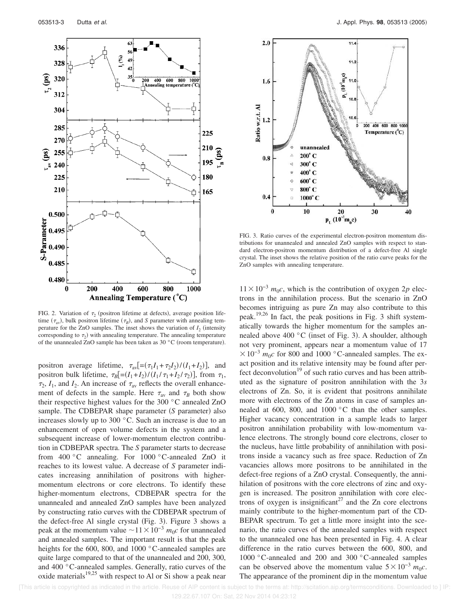



FIG. 3. Ratio curves of the experimental electron-positron momentum distributions for unannealed and annealed ZnO samples with respect to standard electron-positron momentum distribution of a defect-free Al single crystal. The inset shows the relative position of the ratio curve peaks for the ZnO samples with annealing temperature.

FIG. 2. Variation of  $\tau_2$  (positron lifetime at defects), average position lifetime  $(\tau_{av})$ , bulk positron lifetime  $(\tau_B)$ , and *S* parameter with annealing temperature for the ZnO samples. The inset shows the variation of  $I_2$  (intensity corresponding to  $\tau_2$ ) with annealing temperature. The annealing temperature of the unannealed ZnO sample has been taken as  $30 °C$  (room temperature).

positron average lifetime,  $\tau_{av}$ [= $(\tau_1 I_1 + \tau_2 I_2) / (I_1 + I_2)$ ], and positron bulk lifetime,  $\tau_B$ [= $(I_1+I_2)/(I_1/\tau_1+I_2/\tau_2)$ ], from  $\tau_1$ ,  $\tau_2$ ,  $I_1$ , and  $I_2$ . An increase of  $\tau_{av}$  reflects the overall enhancement of defects in the sample. Here  $\tau_{av}$  and  $\tau_B$  both show their respective highest values for the 300 °C annealed ZnO sample. The CDBEPAR shape parameter (S parameter) also increases slowly up to 300 °C. Such an increase is due to an enhancement of open volume defects in the system and a subsequent increase of lower-momentum electron contribution in CDBEPAR spectra. The *S* parameter starts to decrease from 400 °C annealing. For 1000 °C-annealed ZnO it reaches to its lowest value. A decrease of *S* parameter indicates increasing annihilation of positrons with highermomentum electrons or core electrons. To identify these higher-momentum electrons, CDBEPAR spectra for the unannealed and annealed ZnO samples have been analyzed by constructing ratio curves with the CDBEPAR spectrum of the defect-free Al single crystal (Fig. 3). Figure 3 shows a peak at the momentum value  $\sim$ 11×10<sup>-3</sup>  $m_0c$  for unannealed and annealed samples. The important result is that the peak heights for the 600, 800, and 1000 °C-annealed samples are quite large compared to that of the unannealed and 200, 300, and 400 °C-annealed samples. Generally, ratio curves of the oxide materials $19,25$  with respect to Al or Si show a peak near

 $11 \times 10^{-3}$  *m*<sub>0</sub>*c*, which is the contribution of oxygen 2*p* electrons in the annihilation process. But the scenario in ZnO becomes intriguing as pure Zn may also contribute to this peak.<sup>19,26</sup> In fact, the peak positions in Fig. 3 shift systematically towards the higher momentum for the samples annealed above  $400 °C$  (inset of Fig. 3). A shoulder, although not very prominent, appears near a momentum value of 17  $10^{-3}$  *m*<sub>0</sub>*c* for 800 and 1000 °C-annealed samples. The exact position and its relative intensity may be found after perfect deconvolution $19$  of such ratio curves and has been attributed as the signature of positron annihilation with the 3*s* electrons of Zn. So, it is evident that positrons annihilate more with electrons of the Zn atoms in case of samples annealed at 600, 800, and 1000 °C than the other samples. Higher vacancy concentration in a sample leads to larger positron annihilation probability with low-momentum valence electrons. The strongly bound core electrons, closer to the nucleus, have little probability of annihilation with positrons inside a vacancy such as free space. Reduction of Zn vacancies allows more positrons to be annihilated in the defect-free regions of a ZnO crystal. Consequently, the annihilation of positrons with the core electrons of zinc and oxygen is increased. The positron annihilation with core electrons of oxygen is insignificant<sup>27</sup> and the Zn core electrons mainly contribute to the higher-momentum part of the CD-BEPAR spectrum. To get a little more insight into the scenario, the ratio curves of the annealed samples with respect to the unannealed one has been presented in Fig. 4. A clear difference in the ratio curves between the 600, 800, and 1000 °C-annealed and 200 and 300 °C-annealed samples can be observed above the momentum value  $5 \times 10^{-3}$   $m_0c$ . The appearance of the prominent dip in the momentum value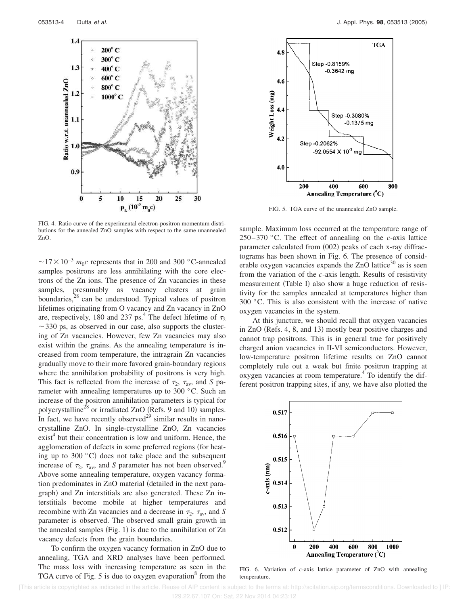

FIG. 4. Ratio curve of the experimental electron-positron momentum distributions for the annealed ZnO samples with respect to the same unannealed ZnO.

 $\sim$ 17 × 10<sup>-3</sup>  $m_0c$  represents that in 200 and 300 °C-annealed samples positrons are less annihilating with the core electrons of the Zn ions. The presence of Zn vacancies in these samples, presumably as vacancy clusters at grain boundaries, $28$  can be understood. Typical values of positron lifetimes originating from O vacancy and Zn vacancy in ZnO are, respectively, 180 and 237 ps.<sup>4</sup> The defect lifetime of  $\tau_2$  $\sim$  330 ps, as observed in our case, also supports the clustering of Zn vacancies. However, few Zn vacancies may also exist within the grains. As the annealing temperature is increased from room temperature, the intragrain Zn vacancies gradually move to their more favored grain-boundary regions where the annihilation probability of positrons is very high. This fact is reflected from the increase of  $\tau_2$ ,  $\tau_{av}$ , and *S* parameter with annealing temperatures up to 300 °C. Such an increase of the positron annihilation parameters is typical for polycrystalline<sup>28</sup> or irradiated ZnO (Refs. 9 and 10) samples. In fact, we have recently observed<sup>29</sup> similar results in nanocrystalline ZnO. In single-crystalline ZnO, Zn vacancies exist<sup>4</sup> but their concentration is low and uniform. Hence, the agglomeration of defects in some preferred regions (for heating up to 300 $\degree$ C) does not take place and the subsequent increase of  $\tau_2$ ,  $\tau_{av}$ , and *S* parameter has not been observed.<sup>9</sup> Above some annealing temperature, oxygen vacancy formation predominates in ZnO material (detailed in the next paragraph) and Zn interstitials are also generated. These Zn interstitials become mobile at higher temperatures and recombine with Zn vacancies and a decrease in  $\tau_2$ ,  $\tau_{av}$ , and *S* parameter is observed. The observed small grain growth in the annealed samples (Fig. 1) is due to the annihilation of Zn vacancy defects from the grain boundaries.

To confirm the oxygen vacancy formation in ZnO due to annealing, TGA and XRD analyses have been performed. The mass loss with increasing temperature as seen in the TGA curve of Fig. 5 is due to oxygen evaporation<sup>8</sup> from the



FIG. 5. TGA curve of the unannealed ZnO sample.

sample. Maximum loss occurred at the temperature range of 250– 370 °C. The effect of annealing on the *c*-axis lattice parameter calculated from (002) peaks of each x-ray diffractograms has been shown in Fig. 6. The presence of considerable oxygen vacancies expands the ZnO lattice $30$  as is seen from the variation of the *c*-axis length. Results of resistivity measurement (Table I) also show a huge reduction of resistivity for the samples annealed at temperatures higher than 300 °C. This is also consistent with the increase of native oxygen vacancies in the system.

At this juncture, we should recall that oxygen vacancies in ZnO (Refs. 4, 8, and 13) mostly bear positive charges and cannot trap positrons. This is in general true for positively charged anion vacancies in II-VI semiconductors. However, low-temperature positron lifetime results on ZnO cannot completely rule out a weak but finite positron trapping at oxygen vacancies at room temperature.<sup>4</sup> To identify the different positron trapping sites, if any, we have also plotted the



FIG. 6. Variation of *c*-axis lattice parameter of ZnO with annealing temperature.